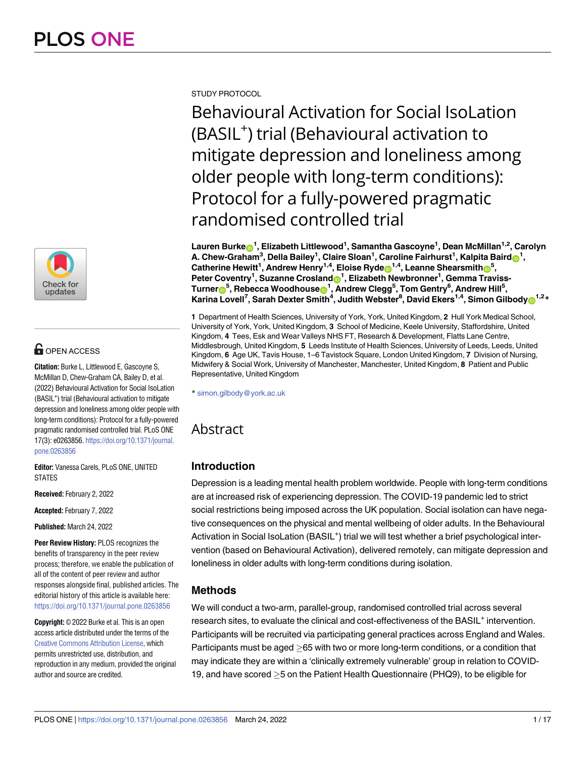

# **G** OPEN ACCESS

**Citation:** Burke L, Littlewood E, Gascoyne S, McMillan D, Chew-Graham CA, Bailey D, et al. (2022) Behavioural Activation for Social IsoLation (BASIL<sup>+</sup>) trial (Behavioural activation to mitigate depression and loneliness among older people with long-term conditions): Protocol for a fully-powered pragmatic randomised controlled trial. PLoS ONE 17(3): e0263856. [https://doi.org/10.1371/journal.](https://doi.org/10.1371/journal.pone.0263856) [pone.0263856](https://doi.org/10.1371/journal.pone.0263856)

**Editor:** Vanessa Carels, PLoS ONE, UNITED STATES

**Received:** February 2, 2022

**Accepted:** February 7, 2022

**Published:** March 24, 2022

**Peer Review History:** PLOS recognizes the benefits of transparency in the peer review process; therefore, we enable the publication of all of the content of peer review and author responses alongside final, published articles. The editorial history of this article is available here: <https://doi.org/10.1371/journal.pone.0263856>

**Copyright:** © 2022 Burke et al. This is an open access article distributed under the terms of the Creative Commons [Attribution](http://creativecommons.org/licenses/by/4.0/) License, which permits unrestricted use, distribution, and reproduction in any medium, provided the original author and source are credited.

STUDY PROTOCOL

Behavioural Activation for Social IsoLation (BASIL<sup>+</sup>) trial (Behavioural activation to mitigate depression and loneliness among older people with long-term conditions): Protocol for a fully-powered pragmatic randomised controlled trial

 $\mathsf{L}$ auren Burke $\mathsf{D}^1$ , Elizabeth Littlewood $^1$ , Samantha Gascoyne $^1$ , Dean McMillan $^{1,2}$ , Carolyn  $\blacksquare$  **A.** Chew-Graham $^3$ , Della Bailey $^1$ , Claire Sloan $^1$ , Caroline Fairhurst $^1$ , Kalpita Baird $\blacksquare^1$ ,  $\textsf{C}$ atherine Hewitt<sup>1</sup>, Andrew Henry<sup>1,4</sup>, Eloise Ryde $\textsf{D}^{1,4}$ , Leanne Shearsmith $\textsf{D}^{5}$ , **Peter Coventry<sup>1</sup>, Suzanne Crosland<sup>o1</sup>, Elizabeth Newbronner<sup>1</sup>, Gemma Traviss-** $\textrm{Turner}_{\textbf{O}}^{\textbf{G}}$ , Rebecca Woodhouse $\textbf{O}^{\textbf{1}}$ , Andrew Clegg<sup>5</sup>, Tom Gentry<sup>6</sup>, Andrew Hill<sup>5</sup>,  $K$ arina Lovell<sup>7</sup>, Sarah Dexter Smith<sup>4</sup>, Judith Webster<sup>8</sup>, David Ekers<sup>1,4</sup>, Simon Gilbody<sup>1,2</sup>\*

**1** Department of Health Sciences, University of York, York, United Kingdom, **2** Hull York Medical School, University of York, York, United Kingdom, **3** School of Medicine, Keele University, Staffordshire, United Kingdom, **4** Tees, Esk and Wear Valleys NHS FT, Research & Development, Flatts Lane Centre, Middlesbrough, United Kingdom, **5** Leeds Institute of Health Sciences, University of Leeds, Leeds, United Kingdom, **6** Age UK, Tavis House, 1–6 Tavistock Square, London United Kingdom, **7** Division of Nursing, Midwifery & Social Work, University of Manchester, Manchester, United Kingdom, **8** Patient and Public Representative, United Kingdom

\* simon.gilbody@york.ac.uk

# Abstract

# **Introduction**

Depression is a leading mental health problem worldwide. People with long-term conditions are at increased risk of experiencing depression. The COVID-19 pandemic led to strict social restrictions being imposed across the UK population. Social isolation can have negative consequences on the physical and mental wellbeing of older adults. In the Behavioural Activation in Social IsoLation (BASIL<sup>+</sup>) trial we will test whether a brief psychological intervention (based on Behavioural Activation), delivered remotely, can mitigate depression and loneliness in older adults with long-term conditions during isolation.

# **Methods**

We will conduct a two-arm, parallel-group, randomised controlled trial across several research sites, to evaluate the clinical and cost-effectiveness of the BASIL<sup>+</sup> intervention. Participants will be recruited via participating general practices across England and Wales. Participants must be aged  $>65$  with two or more long-term conditions, or a condition that may indicate they are within a 'clinically extremely vulnerable' group in relation to COVID-19, and have scored �5 on the Patient Health Questionnaire (PHQ9), to be eligible for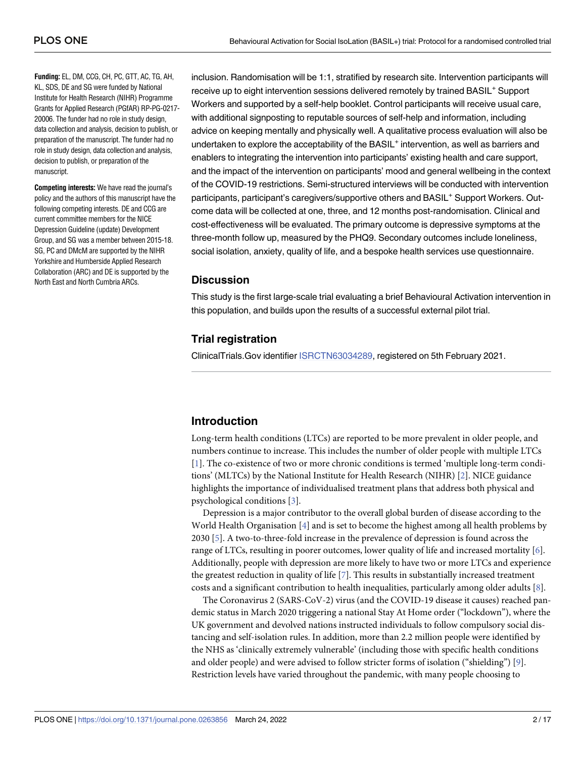<span id="page-1-0"></span>**Funding:** EL, DM, CCG, CH, PC, GTT, AC, TG, AH, KL, SDS, DE and SG were funded by National Institute for Health Research (NIHR) Programme Grants for Applied Research (PGfAR) RP-PG-0217- 20006. The funder had no role in study design, data collection and analysis, decision to publish, or preparation of the manuscript. The funder had no role in study design, data collection and analysis, decision to publish, or preparation of the manuscript.

**Competing interests:** We have read the journal's policy and the authors of this manuscript have the following competing interests. DE and CCG are current committee members for the NICE Depression Guideline (update) Development Group, and SG was a member between 2015-18. SG, PC and DMcM are supported by the NIHR Yorkshire and Humberside Applied Research Collaboration (ARC) and DE is supported by the North East and North Cumbria ARCs.

inclusion. Randomisation will be 1:1, stratified by research site. Intervention participants will receive up to eight intervention sessions delivered remotely by trained BASIL<sup>+</sup> Support Workers and supported by a self-help booklet. Control participants will receive usual care, with additional signposting to reputable sources of self-help and information, including advice on keeping mentally and physically well. A qualitative process evaluation will also be undertaken to explore the acceptability of the BASIL<sup>+</sup> intervention, as well as barriers and enablers to integrating the intervention into participants' existing health and care support, and the impact of the intervention on participants' mood and general wellbeing in the context of the COVID-19 restrictions. Semi-structured interviews will be conducted with intervention participants, participant's caregivers/supportive others and BASIL<sup>+</sup> Support Workers. Outcome data will be collected at one, three, and 12 months post-randomisation. Clinical and cost-effectiveness will be evaluated. The primary outcome is depressive symptoms at the three-month follow up, measured by the PHQ9. Secondary outcomes include loneliness, social isolation, anxiety, quality of life, and a bespoke health services use questionnaire.

## **Discussion**

This study is the first large-scale trial evaluating a brief Behavioural Activation intervention in this population, and builds upon the results of a successful external pilot trial.

# **Trial registration**

ClinicalTrials.Gov identifier [ISRCTN63034289](https://www.isrctn.com/ISRCTN63034289?q=42569496&filters=&sort=&offset=1&totalResults=1&page=1&pageSize=10&searchType=basic-search), registered on 5th February 2021.

# **Introduction**

Long-term health conditions (LTCs) are reported to be more prevalent in older people, and numbers continue to increase. This includes the number of older people with multiple LTCs [\[1](#page-13-0)]. The co-existence of two or more chronic conditions is termed 'multiple long-term conditions' (MLTCs) by the National Institute for Health Research (NIHR) [\[2](#page-13-0)]. NICE guidance highlights the importance of individualised treatment plans that address both physical and psychological conditions [\[3\]](#page-13-0).

Depression is a major contributor to the overall global burden of disease according to the World Health Organisation [[4](#page-13-0)] and is set to become the highest among all health problems by 2030 [[5](#page-13-0)]. A two-to-three-fold increase in the prevalence of depression is found across the range of LTCs, resulting in poorer outcomes, lower quality of life and increased mortality [\[6](#page-13-0)]. Additionally, people with depression are more likely to have two or more LTCs and experience the greatest reduction in quality of life [[7](#page-14-0)]. This results in substantially increased treatment costs and a significant contribution to health inequalities, particularly among older adults [\[8\]](#page-14-0).

The Coronavirus 2 (SARS-CoV-2) virus (and the COVID-19 disease it causes) reached pandemic status in March 2020 triggering a national Stay At Home order ("lockdown"), where the UK government and devolved nations instructed individuals to follow compulsory social distancing and self-isolation rules. In addition, more than 2.2 million people were identified by the NHS as 'clinically extremely vulnerable' (including those with specific health conditions and older people) and were advised to follow stricter forms of isolation ("shielding") [\[9](#page-14-0)]. Restriction levels have varied throughout the pandemic, with many people choosing to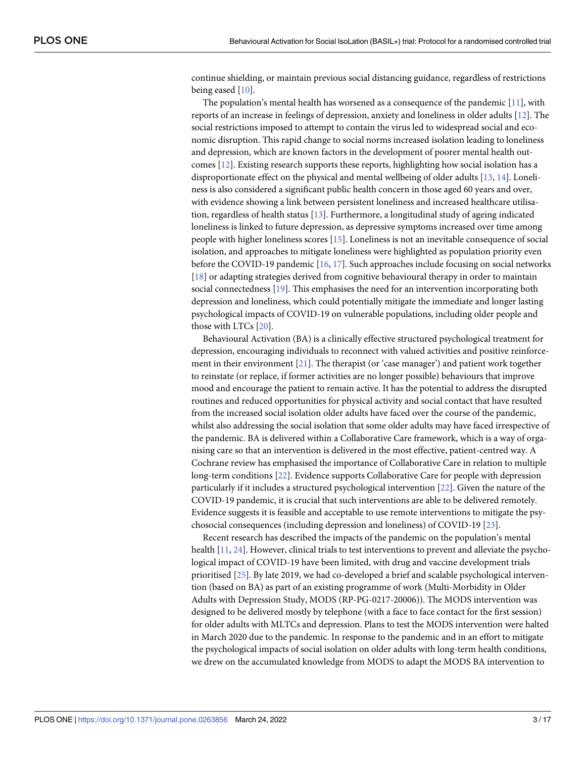<span id="page-2-0"></span>continue shielding, or maintain previous social distancing guidance, regardless of restrictions being eased [[10](#page-14-0)].

The population's mental health has worsened as a consequence of the pandemic [\[11\]](#page-14-0), with reports of an increase in feelings of depression, anxiety and loneliness in older adults [[12](#page-14-0)]. The social restrictions imposed to attempt to contain the virus led to widespread social and economic disruption. This rapid change to social norms increased isolation leading to loneliness and depression, which are known factors in the development of poorer mental health outcomes [[12](#page-14-0)]. Existing research supports these reports, highlighting how social isolation has a disproportionate effect on the physical and mental wellbeing of older adults [\[13,](#page-14-0) [14\]](#page-14-0). Loneliness is also considered a significant public health concern in those aged 60 years and over, with evidence showing a link between persistent loneliness and increased healthcare utilisation, regardless of health status [\[13\]](#page-14-0). Furthermore, a longitudinal study of ageing indicated loneliness is linked to future depression, as depressive symptoms increased over time among people with higher loneliness scores [\[15\]](#page-14-0). Loneliness is not an inevitable consequence of social isolation, and approaches to mitigate loneliness were highlighted as population priority even before the COVID-19 pandemic [\[16,](#page-14-0) [17](#page-14-0)]. Such approaches include focusing on social networks [\[18\]](#page-14-0) or adapting strategies derived from cognitive behavioural therapy in order to maintain social connectedness [\[19\]](#page-14-0). This emphasises the need for an intervention incorporating both depression and loneliness, which could potentially mitigate the immediate and longer lasting psychological impacts of COVID-19 on vulnerable populations, including older people and those with LTCs [[20](#page-14-0)].

Behavioural Activation (BA) is a clinically effective structured psychological treatment for depression, encouraging individuals to reconnect with valued activities and positive reinforcement in their environment [\[21\]](#page-14-0). The therapist (or 'case manager') and patient work together to reinstate (or replace, if former activities are no longer possible) behaviours that improve mood and encourage the patient to remain active. It has the potential to address the disrupted routines and reduced opportunities for physical activity and social contact that have resulted from the increased social isolation older adults have faced over the course of the pandemic, whilst also addressing the social isolation that some older adults may have faced irrespective of the pandemic. BA is delivered within a Collaborative Care framework, which is a way of organising care so that an intervention is delivered in the most effective, patient-centred way. A Cochrane review has emphasised the importance of Collaborative Care in relation to multiple long-term conditions [[22](#page-14-0)]. Evidence supports Collaborative Care for people with depression particularly if it includes a structured psychological intervention [\[22\]](#page-14-0). Given the nature of the COVID-19 pandemic, it is crucial that such interventions are able to be delivered remotely. Evidence suggests it is feasible and acceptable to use remote interventions to mitigate the psychosocial consequences (including depression and loneliness) of COVID-19 [\[23\]](#page-14-0).

Recent research has described the impacts of the pandemic on the population's mental health [\[11,](#page-14-0) [24](#page-15-0)]. However, clinical trials to test interventions to prevent and alleviate the psychological impact of COVID-19 have been limited, with drug and vaccine development trials prioritised [\[25\]](#page-15-0). By late 2019, we had co-developed a brief and scalable psychological intervention (based on BA) as part of an existing programme of work (Multi-Morbidity in Older Adults with Depression Study, MODS (RP-PG-0217-20006)). The MODS intervention was designed to be delivered mostly by telephone (with a face to face contact for the first session) for older adults with MLTCs and depression. Plans to test the MODS intervention were halted in March 2020 due to the pandemic. In response to the pandemic and in an effort to mitigate the psychological impacts of social isolation on older adults with long-term health conditions, we drew on the accumulated knowledge from MODS to adapt the MODS BA intervention to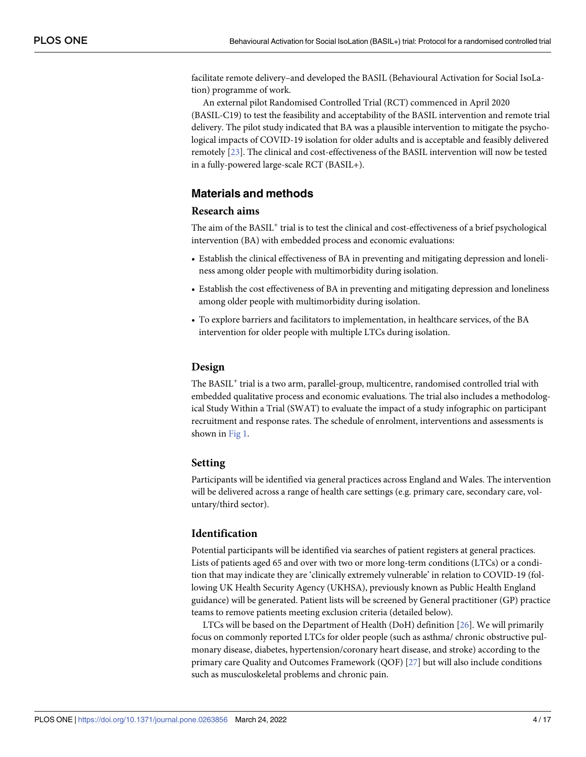<span id="page-3-0"></span>facilitate remote delivery–and developed the BASIL (Behavioural Activation for Social IsoLation) programme of work.

An external pilot Randomised Controlled Trial (RCT) commenced in April 2020 (BASIL-C19) to test the feasibility and acceptability of the BASIL intervention and remote trial delivery. The pilot study indicated that BA was a plausible intervention to mitigate the psychological impacts of COVID-19 isolation for older adults and is acceptable and feasibly delivered remotely [\[23\]](#page-14-0). The clinical and cost-effectiveness of the BASIL intervention will now be tested in a fully-powered large-scale RCT (BASIL+).

# **Materials and methods**

## **Research aims**

The aim of the BASIL<sup>+</sup> trial is to test the clinical and cost-effectiveness of a brief psychological intervention (BA) with embedded process and economic evaluations:

- Establish the clinical effectiveness of BA in preventing and mitigating depression and loneliness among older people with multimorbidity during isolation.
- Establish the cost effectiveness of BA in preventing and mitigating depression and loneliness among older people with multimorbidity during isolation.
- To explore barriers and facilitators to implementation, in healthcare services, of the BA intervention for older people with multiple LTCs during isolation.

#### **Design**

The BASIL<sup>+</sup> trial is a two arm, parallel-group, multicentre, randomised controlled trial with embedded qualitative process and economic evaluations. The trial also includes a methodological Study Within a Trial (SWAT) to evaluate the impact of a study infographic on participant recruitment and response rates. The schedule of enrolment, interventions and assessments is shown in [Fig](#page-4-0) 1.

#### **Setting**

Participants will be identified via general practices across England and Wales. The intervention will be delivered across a range of health care settings (e.g. primary care, secondary care, voluntary/third sector).

### **Identification**

Potential participants will be identified via searches of patient registers at general practices. Lists of patients aged 65 and over with two or more long-term conditions (LTCs) or a condition that may indicate they are 'clinically extremely vulnerable' in relation to COVID-19 (following UK Health Security Agency (UKHSA), previously known as Public Health England guidance) will be generated. Patient lists will be screened by General practitioner (GP) practice teams to remove patients meeting exclusion criteria (detailed below).

LTCs will be based on the Department of Health (DoH) definition [[26](#page-15-0)]. We will primarily focus on commonly reported LTCs for older people (such as asthma/ chronic obstructive pulmonary disease, diabetes, hypertension/coronary heart disease, and stroke) according to the primary care Quality and Outcomes Framework (QOF) [[27](#page-15-0)] but will also include conditions such as musculoskeletal problems and chronic pain.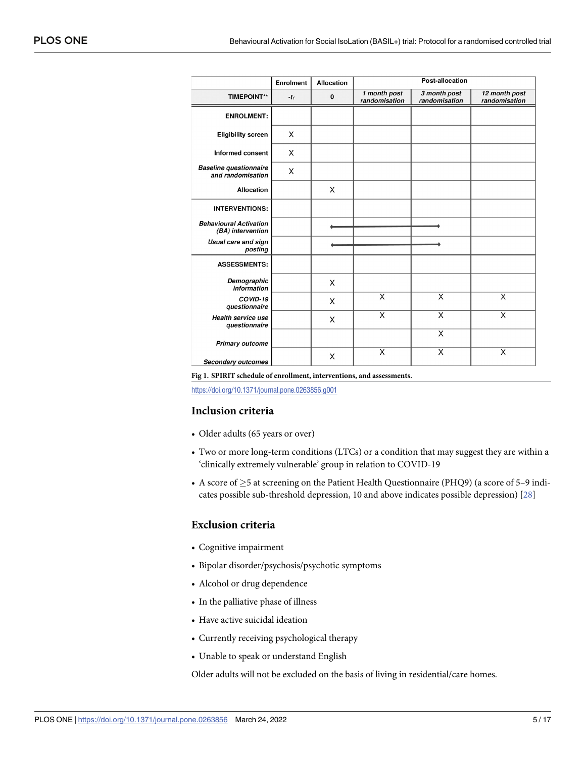<span id="page-4-0"></span>

|                                                    | Enrolment | Allocation | Post-allocation               |                               |                                |
|----------------------------------------------------|-----------|------------|-------------------------------|-------------------------------|--------------------------------|
| <b>TIMEPOINT**</b>                                 | $-t_1$    | $\pmb{0}$  | 1 month post<br>randomisation | 3 month post<br>randomisation | 12 month post<br>randomisation |
| <b>ENROLMENT:</b>                                  |           |            |                               |                               |                                |
| <b>Eligibility screen</b>                          | X         |            |                               |                               |                                |
| <b>Informed consent</b>                            | X         |            |                               |                               |                                |
| <b>Baseline questionnaire</b><br>and randomisation | X         |            |                               |                               |                                |
| <b>Allocation</b>                                  |           | X          |                               |                               |                                |
| <b>INTERVENTIONS:</b>                              |           |            |                               |                               |                                |
| <b>Behavioural Activation</b><br>(BA) intervention |           |            |                               |                               |                                |
| Usual care and sign<br>posting                     |           |            |                               |                               |                                |
| <b>ASSESSMENTS:</b>                                |           |            |                               |                               |                                |
| Demographic<br>information                         |           | X          |                               |                               |                                |
| COVID-19<br>questionnaire                          |           | X          | $\overline{\mathsf{x}}$       | $\overline{\mathsf{x}}$       | X                              |
| Health service use<br>questionnaire                |           | X          | X                             | $\overline{\mathsf{x}}$       | Χ                              |
| <b>Primary outcome</b>                             |           |            |                               | X                             |                                |
| Secondary outcomes                                 |           | X          | X                             | X                             | X                              |

**[Fig](#page-3-0) 1. SPIRIT schedule of enrollment, interventions, and assessments.**

<https://doi.org/10.1371/journal.pone.0263856.g001>

#### **Inclusion criteria**

- Older adults (65 years or over)
- Two or more long-term conditions (LTCs) or a condition that may suggest they are within a 'clinically extremely vulnerable' group in relation to COVID-19
- A score of  $\geq$ 5 at screening on the Patient Health Questionnaire (PHQ9) (a score of 5–9 indicates possible sub-threshold depression, 10 and above indicates possible depression) [[28](#page-15-0)]

#### **Exclusion criteria**

- Cognitive impairment
- Bipolar disorder/psychosis/psychotic symptoms
- Alcohol or drug dependence
- In the palliative phase of illness
- Have active suicidal ideation
- Currently receiving psychological therapy
- Unable to speak or understand English

Older adults will not be excluded on the basis of living in residential/care homes.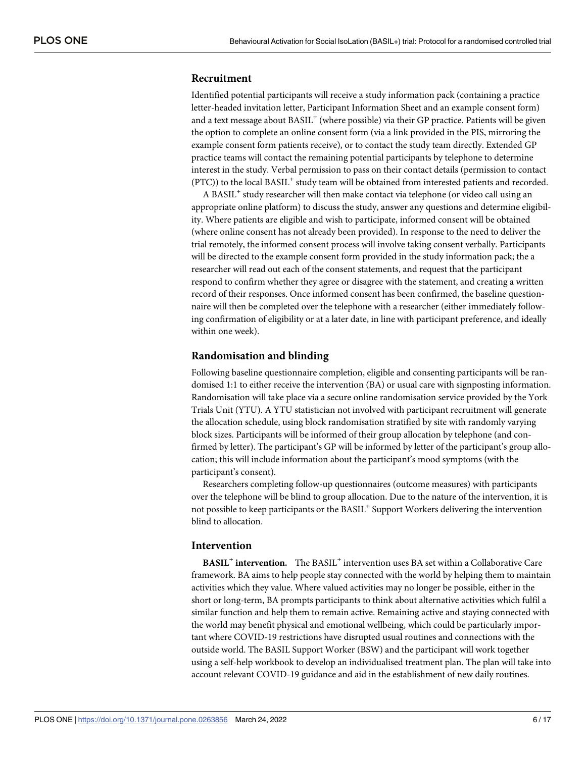## **Recruitment**

Identified potential participants will receive a study information pack (containing a practice letter-headed invitation letter, Participant Information Sheet and an example consent form) and a text message about BASIL<sup>+</sup> (where possible) via their GP practice. Patients will be given the option to complete an online consent form (via a link provided in the PIS, mirroring the example consent form patients receive), or to contact the study team directly. Extended GP practice teams will contact the remaining potential participants by telephone to determine interest in the study. Verbal permission to pass on their contact details (permission to contact (PTC)) to the local BASIL<sup>+</sup> study team will be obtained from interested patients and recorded.

A BASIL<sup>+</sup> study researcher will then make contact via telephone (or video call using an appropriate online platform) to discuss the study, answer any questions and determine eligibility. Where patients are eligible and wish to participate, informed consent will be obtained (where online consent has not already been provided). In response to the need to deliver the trial remotely, the informed consent process will involve taking consent verbally. Participants will be directed to the example consent form provided in the study information pack; the a researcher will read out each of the consent statements, and request that the participant respond to confirm whether they agree or disagree with the statement, and creating a written record of their responses. Once informed consent has been confirmed, the baseline questionnaire will then be completed over the telephone with a researcher (either immediately following confirmation of eligibility or at a later date, in line with participant preference, and ideally within one week).

## **Randomisation and blinding**

Following baseline questionnaire completion, eligible and consenting participants will be randomised 1:1 to either receive the intervention (BA) or usual care with signposting information. Randomisation will take place via a secure online randomisation service provided by the York Trials Unit (YTU). A YTU statistician not involved with participant recruitment will generate the allocation schedule, using block randomisation stratified by site with randomly varying block sizes. Participants will be informed of their group allocation by telephone (and confirmed by letter). The participant's GP will be informed by letter of the participant's group allocation; this will include information about the participant's mood symptoms (with the participant's consent).

Researchers completing follow-up questionnaires (outcome measures) with participants over the telephone will be blind to group allocation. Due to the nature of the intervention, it is not possible to keep participants or the BASIL<sup>+</sup> Support Workers delivering the intervention blind to allocation.

# **Intervention**

**BASIL<sup>+</sup> intervention.** The BASIL<sup>+</sup> intervention uses BA set within a Collaborative Care framework. BA aims to help people stay connected with the world by helping them to maintain activities which they value. Where valued activities may no longer be possible, either in the short or long-term, BA prompts participants to think about alternative activities which fulfil a similar function and help them to remain active. Remaining active and staying connected with the world may benefit physical and emotional wellbeing, which could be particularly important where COVID-19 restrictions have disrupted usual routines and connections with the outside world. The BASIL Support Worker (BSW) and the participant will work together using a self-help workbook to develop an individualised treatment plan. The plan will take into account relevant COVID-19 guidance and aid in the establishment of new daily routines.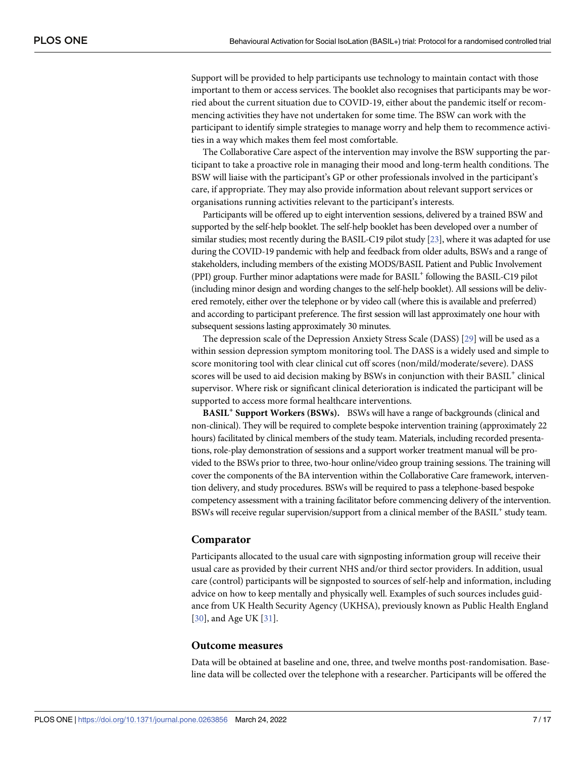<span id="page-6-0"></span>Support will be provided to help participants use technology to maintain contact with those important to them or access services. The booklet also recognises that participants may be worried about the current situation due to COVID-19, either about the pandemic itself or recommencing activities they have not undertaken for some time. The BSW can work with the participant to identify simple strategies to manage worry and help them to recommence activities in a way which makes them feel most comfortable.

The Collaborative Care aspect of the intervention may involve the BSW supporting the participant to take a proactive role in managing their mood and long-term health conditions. The BSW will liaise with the participant's GP or other professionals involved in the participant's care, if appropriate. They may also provide information about relevant support services or organisations running activities relevant to the participant's interests.

Participants will be offered up to eight intervention sessions, delivered by a trained BSW and supported by the self-help booklet. The self-help booklet has been developed over a number of similar studies; most recently during the BASIL-C19 pilot study [[23\]](#page-14-0), where it was adapted for use during the COVID-19 pandemic with help and feedback from older adults, BSWs and a range of stakeholders, including members of the existing MODS/BASIL Patient and Public Involvement (PPI) group. Further minor adaptations were made for BASIL+ following the BASIL-C19 pilot (including minor design and wording changes to the self-help booklet). All sessions will be delivered remotely, either over the telephone or by video call (where this is available and preferred) and according to participant preference. The first session will last approximately one hour with subsequent sessions lasting approximately 30 minutes.

The depression scale of the Depression Anxiety Stress Scale (DASS) [\[29\]](#page-15-0) will be used as a within session depression symptom monitoring tool. The DASS is a widely used and simple to score monitoring tool with clear clinical cut off scores (non/mild/moderate/severe). DASS scores will be used to aid decision making by BSWs in conjunction with their BASIL<sup>+</sup> clinical supervisor. Where risk or significant clinical deterioration is indicated the participant will be supported to access more formal healthcare interventions.

**BASIL<sup>+</sup> Support Workers (BSWs).** BSWs will have a range of backgrounds (clinical and non-clinical). They will be required to complete bespoke intervention training (approximately 22 hours) facilitated by clinical members of the study team. Materials, including recorded presentations, role-play demonstration of sessions and a support worker treatment manual will be provided to the BSWs prior to three, two-hour online/video group training sessions. The training will cover the components of the BA intervention within the Collaborative Care framework, intervention delivery, and study procedures. BSWs will be required to pass a telephone-based bespoke competency assessment with a training facilitator before commencing delivery of the intervention. BSWs will receive regular supervision/support from a clinical member of the BASIL<sup>+</sup> study team.

#### **Comparator**

Participants allocated to the usual care with signposting information group will receive their usual care as provided by their current NHS and/or third sector providers. In addition, usual care (control) participants will be signposted to sources of self-help and information, including advice on how to keep mentally and physically well. Examples of such sources includes guidance from UK Health Security Agency (UKHSA), previously known as Public Health England [\[30\]](#page-15-0), and Age UK [[31](#page-15-0)].

#### **Outcome measures**

Data will be obtained at baseline and one, three, and twelve months post-randomisation. Baseline data will be collected over the telephone with a researcher. Participants will be offered the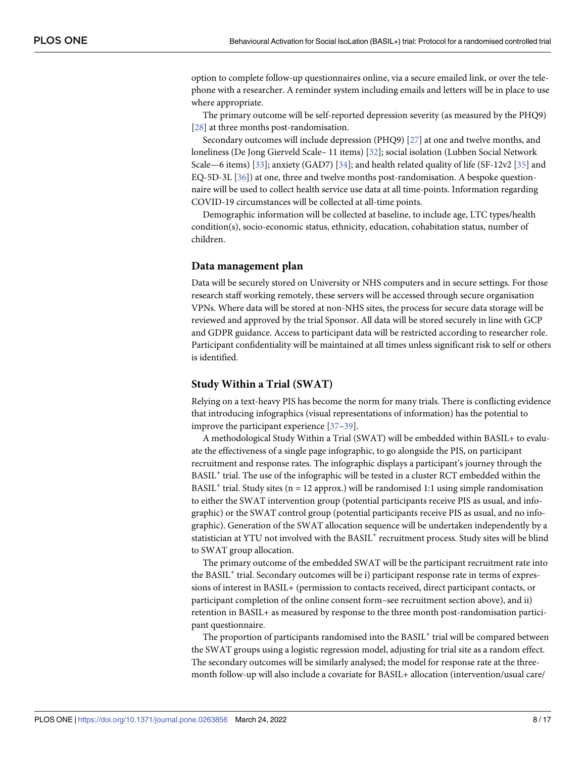<span id="page-7-0"></span>option to complete follow-up questionnaires online, via a secure emailed link, or over the telephone with a researcher. A reminder system including emails and letters will be in place to use where appropriate.

The primary outcome will be self-reported depression severity (as measured by the PHQ9) [\[28\]](#page-15-0) at three months post-randomisation.

Secondary outcomes will include depression (PHQ9) [\[27\]](#page-15-0) at one and twelve months, and loneliness (De Jong Gierveld Scale– 11 items) [[32](#page-15-0)]; social isolation (Lubben Social Network Scale—6 items) [[33](#page-15-0)]; anxiety (GAD7) [[34](#page-15-0)]; and health related quality of life (SF-12v2 [\[35\]](#page-15-0) and EQ-5D-3L [\[36\]](#page-15-0)) at one, three and twelve months post-randomisation. A bespoke questionnaire will be used to collect health service use data at all time-points. Information regarding COVID-19 circumstances will be collected at all-time points.

Demographic information will be collected at baseline, to include age, LTC types/health condition(s), socio-economic status, ethnicity, education, cohabitation status, number of children.

#### **Data management plan**

Data will be securely stored on University or NHS computers and in secure settings. For those research staff working remotely, these servers will be accessed through secure organisation VPNs. Where data will be stored at non-NHS sites, the process for secure data storage will be reviewed and approved by the trial Sponsor. All data will be stored securely in line with GCP and GDPR guidance. Access to participant data will be restricted according to researcher role. Participant confidentiality will be maintained at all times unless significant risk to self or others is identified.

#### **Study Within a Trial (SWAT)**

Relying on a text-heavy PIS has become the norm for many trials. There is conflicting evidence that introducing infographics (visual representations of information) has the potential to improve the participant experience [[37](#page-15-0)–[39](#page-15-0)].

A methodological Study Within a Trial (SWAT) will be embedded within BASIL+ to evaluate the effectiveness of a single page infographic, to go alongside the PIS, on participant recruitment and response rates. The infographic displays a participant's journey through the BASIL<sup>+</sup> trial. The use of the infographic will be tested in a cluster RCT embedded within the BASIL<sup>+</sup> trial. Study sites ( $n = 12$  approx.) will be randomised 1:1 using simple randomisation to either the SWAT intervention group (potential participants receive PIS as usual, and infographic) or the SWAT control group (potential participants receive PIS as usual, and no infographic). Generation of the SWAT allocation sequence will be undertaken independently by a statistician at YTU not involved with the BASIL<sup>+</sup> recruitment process. Study sites will be blind to SWAT group allocation.

The primary outcome of the embedded SWAT will be the participant recruitment rate into the BASIL<sup>+</sup> trial. Secondary outcomes will be i) participant response rate in terms of expressions of interest in BASIL+ (permission to contacts received, direct participant contacts, or participant completion of the online consent form–see recruitment section above), and ii) retention in BASIL+ as measured by response to the three month post-randomisation participant questionnaire.

The proportion of participants randomised into the BASIL<sup>+</sup> trial will be compared between the SWAT groups using a logistic regression model, adjusting for trial site as a random effect. The secondary outcomes will be similarly analysed; the model for response rate at the threemonth follow-up will also include a covariate for BASIL+ allocation (intervention/usual care/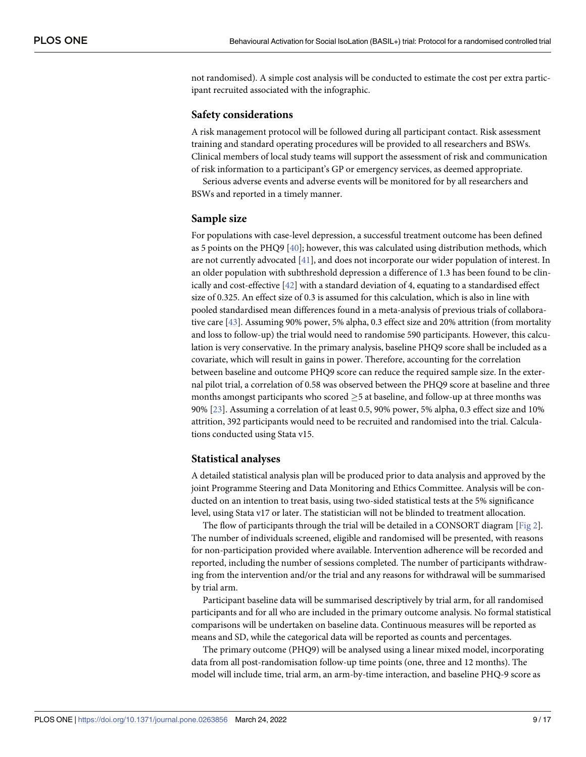<span id="page-8-0"></span>not randomised). A simple cost analysis will be conducted to estimate the cost per extra participant recruited associated with the infographic.

#### **Safety considerations**

A risk management protocol will be followed during all participant contact. Risk assessment training and standard operating procedures will be provided to all researchers and BSWs. Clinical members of local study teams will support the assessment of risk and communication of risk information to a participant's GP or emergency services, as deemed appropriate.

Serious adverse events and adverse events will be monitored for by all researchers and BSWs and reported in a timely manner.

#### **Sample size**

For populations with case-level depression, a successful treatment outcome has been defined as 5 points on the PHQ9 [[40](#page-15-0)]; however, this was calculated using distribution methods, which are not currently advocated [\[41\]](#page-15-0), and does not incorporate our wider population of interest. In an older population with subthreshold depression a difference of 1.3 has been found to be clinically and cost-effective [\[42\]](#page-15-0) with a standard deviation of 4, equating to a standardised effect size of 0.325. An effect size of 0.3 is assumed for this calculation, which is also in line with pooled standardised mean differences found in a meta-analysis of previous trials of collaborative care [[43](#page-16-0)]. Assuming 90% power, 5% alpha, 0.3 effect size and 20% attrition (from mortality and loss to follow-up) the trial would need to randomise 590 participants. However, this calculation is very conservative. In the primary analysis, baseline PHQ9 score shall be included as a covariate, which will result in gains in power. Therefore, accounting for the correlation between baseline and outcome PHQ9 score can reduce the required sample size. In the external pilot trial, a correlation of 0.58 was observed between the PHQ9 score at baseline and three months amongst participants who scored  $\geq$  5 at baseline, and follow-up at three months was 90% [[23](#page-14-0)]. Assuming a correlation of at least 0.5, 90% power, 5% alpha, 0.3 effect size and 10% attrition, 392 participants would need to be recruited and randomised into the trial. Calculations conducted using Stata v15.

#### **Statistical analyses**

A detailed statistical analysis plan will be produced prior to data analysis and approved by the joint Programme Steering and Data Monitoring and Ethics Committee. Analysis will be conducted on an intention to treat basis, using two-sided statistical tests at the 5% significance level, using Stata v17 or later. The statistician will not be blinded to treatment allocation.

The flow of participants through the trial will be detailed in a CONSORT diagram  $[Fig 2]$  $[Fig 2]$ . The number of individuals screened, eligible and randomised will be presented, with reasons for non-participation provided where available. Intervention adherence will be recorded and reported, including the number of sessions completed. The number of participants withdrawing from the intervention and/or the trial and any reasons for withdrawal will be summarised by trial arm.

Participant baseline data will be summarised descriptively by trial arm, for all randomised participants and for all who are included in the primary outcome analysis. No formal statistical comparisons will be undertaken on baseline data. Continuous measures will be reported as means and SD, while the categorical data will be reported as counts and percentages.

The primary outcome (PHQ9) will be analysed using a linear mixed model, incorporating data from all post-randomisation follow-up time points (one, three and 12 months). The model will include time, trial arm, an arm-by-time interaction, and baseline PHQ-9 score as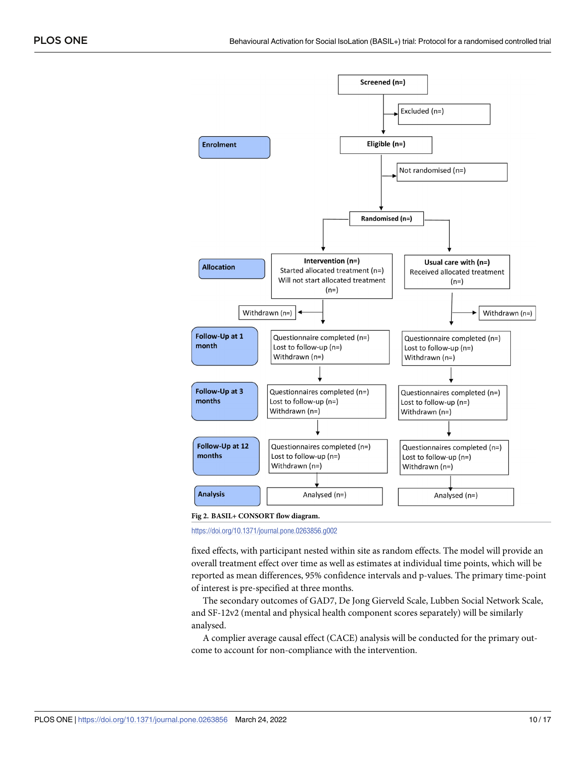<span id="page-9-0"></span>



<https://doi.org/10.1371/journal.pone.0263856.g002>

fixed effects, with participant nested within site as random effects. The model will provide an overall treatment effect over time as well as estimates at individual time points, which will be reported as mean differences, 95% confidence intervals and p-values. The primary time-point of interest is pre-specified at three months.

The secondary outcomes of GAD7, De Jong Gierveld Scale, Lubben Social Network Scale, and SF-12v2 (mental and physical health component scores separately) will be similarly analysed.

A complier average causal effect (CACE) analysis will be conducted for the primary outcome to account for non-compliance with the intervention.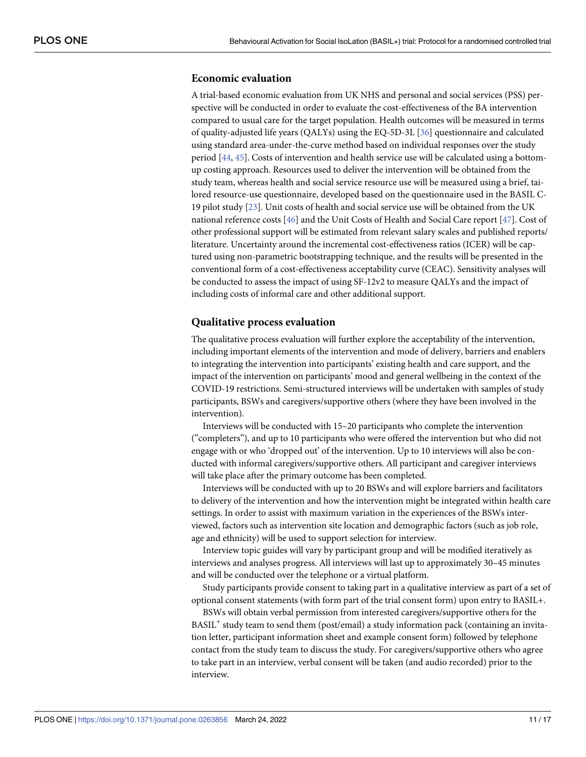## <span id="page-10-0"></span>**Economic evaluation**

A trial-based economic evaluation from UK NHS and personal and social services (PSS) perspective will be conducted in order to evaluate the cost-effectiveness of the BA intervention compared to usual care for the target population. Health outcomes will be measured in terms of quality-adjusted life years (QALYs) using the EQ-5D-3L [\[36\]](#page-15-0) questionnaire and calculated using standard area-under-the-curve method based on individual responses over the study period [[44](#page-16-0), [45](#page-16-0)]. Costs of intervention and health service use will be calculated using a bottomup costing approach. Resources used to deliver the intervention will be obtained from the study team, whereas health and social service resource use will be measured using a brief, tailored resource-use questionnaire, developed based on the questionnaire used in the BASIL C-19 pilot study [[23](#page-14-0)]. Unit costs of health and social service use will be obtained from the UK national reference costs [\[46\]](#page-16-0) and the Unit Costs of Health and Social Care report [\[47\]](#page-16-0). Cost of other professional support will be estimated from relevant salary scales and published reports/ literature. Uncertainty around the incremental cost-effectiveness ratios (ICER) will be captured using non-parametric bootstrapping technique, and the results will be presented in the conventional form of a cost-effectiveness acceptability curve (CEAC). Sensitivity analyses will be conducted to assess the impact of using SF-12v2 to measure QALYs and the impact of including costs of informal care and other additional support.

#### **Qualitative process evaluation**

The qualitative process evaluation will further explore the acceptability of the intervention, including important elements of the intervention and mode of delivery, barriers and enablers to integrating the intervention into participants' existing health and care support, and the impact of the intervention on participants' mood and general wellbeing in the context of the COVID-19 restrictions. Semi-structured interviews will be undertaken with samples of study participants, BSWs and caregivers/supportive others (where they have been involved in the intervention).

Interviews will be conducted with 15–20 participants who complete the intervention ("completers"), and up to 10 participants who were offered the intervention but who did not engage with or who 'dropped out' of the intervention. Up to 10 interviews will also be conducted with informal caregivers/supportive others. All participant and caregiver interviews will take place after the primary outcome has been completed.

Interviews will be conducted with up to 20 BSWs and will explore barriers and facilitators to delivery of the intervention and how the intervention might be integrated within health care settings. In order to assist with maximum variation in the experiences of the BSWs interviewed, factors such as intervention site location and demographic factors (such as job role, age and ethnicity) will be used to support selection for interview.

Interview topic guides will vary by participant group and will be modified iteratively as interviews and analyses progress. All interviews will last up to approximately 30–45 minutes and will be conducted over the telephone or a virtual platform.

Study participants provide consent to taking part in a qualitative interview as part of a set of optional consent statements (with form part of the trial consent form) upon entry to BASIL+.

BSWs will obtain verbal permission from interested caregivers/supportive others for the BASIL<sup>+</sup> study team to send them (post/email) a study information pack (containing an invitation letter, participant information sheet and example consent form) followed by telephone contact from the study team to discuss the study. For caregivers/supportive others who agree to take part in an interview, verbal consent will be taken (and audio recorded) prior to the interview.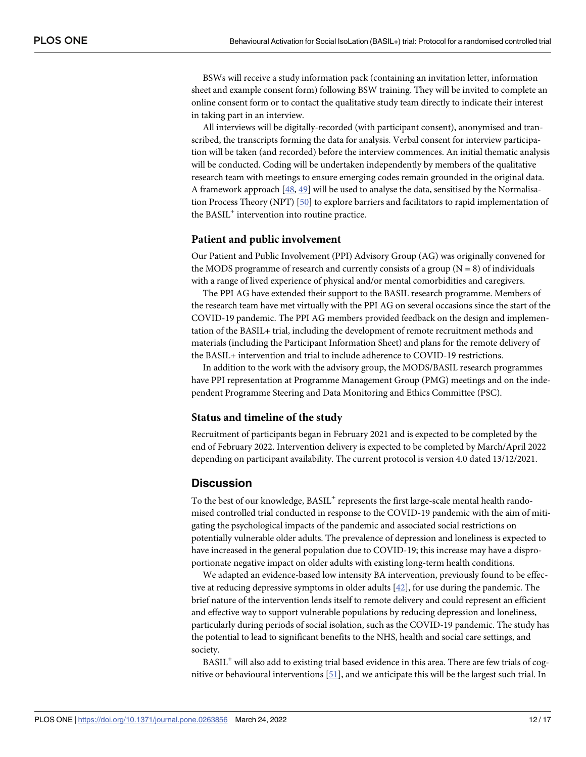<span id="page-11-0"></span>BSWs will receive a study information pack (containing an invitation letter, information sheet and example consent form) following BSW training. They will be invited to complete an online consent form or to contact the qualitative study team directly to indicate their interest in taking part in an interview.

All interviews will be digitally-recorded (with participant consent), anonymised and transcribed, the transcripts forming the data for analysis. Verbal consent for interview participation will be taken (and recorded) before the interview commences. An initial thematic analysis will be conducted. Coding will be undertaken independently by members of the qualitative research team with meetings to ensure emerging codes remain grounded in the original data. A framework approach [\[48,](#page-16-0) [49\]](#page-16-0) will be used to analyse the data, sensitised by the Normalisation Process Theory (NPT) [\[50\]](#page-16-0) to explore barriers and facilitators to rapid implementation of the BASIL<sup>+</sup> intervention into routine practice.

#### **Patient and public involvement**

Our Patient and Public Involvement (PPI) Advisory Group (AG) was originally convened for the MODS programme of research and currently consists of a group  $(N = 8)$  of individuals with a range of lived experience of physical and/or mental comorbidities and caregivers.

The PPI AG have extended their support to the BASIL research programme. Members of the research team have met virtually with the PPI AG on several occasions since the start of the COVID-19 pandemic. The PPI AG members provided feedback on the design and implementation of the BASIL+ trial, including the development of remote recruitment methods and materials (including the Participant Information Sheet) and plans for the remote delivery of the BASIL+ intervention and trial to include adherence to COVID-19 restrictions.

In addition to the work with the advisory group, the MODS/BASIL research programmes have PPI representation at Programme Management Group (PMG) meetings and on the independent Programme Steering and Data Monitoring and Ethics Committee (PSC).

#### **Status and timeline of the study**

Recruitment of participants began in February 2021 and is expected to be completed by the end of February 2022. Intervention delivery is expected to be completed by March/April 2022 depending on participant availability. The current protocol is version 4.0 dated 13/12/2021.

### **Discussion**

To the best of our knowledge, BASIL<sup>+</sup> represents the first large-scale mental health randomised controlled trial conducted in response to the COVID-19 pandemic with the aim of mitigating the psychological impacts of the pandemic and associated social restrictions on potentially vulnerable older adults. The prevalence of depression and loneliness is expected to have increased in the general population due to COVID-19; this increase may have a disproportionate negative impact on older adults with existing long-term health conditions.

We adapted an evidence-based low intensity BA intervention, previously found to be effective at reducing depressive symptoms in older adults [[42](#page-15-0)], for use during the pandemic. The brief nature of the intervention lends itself to remote delivery and could represent an efficient and effective way to support vulnerable populations by reducing depression and loneliness, particularly during periods of social isolation, such as the COVID-19 pandemic. The study has the potential to lead to significant benefits to the NHS, health and social care settings, and society.

BASIL<sup>+</sup> will also add to existing trial based evidence in this area. There are few trials of cognitive or behavioural interventions [[51](#page-16-0)], and we anticipate this will be the largest such trial. In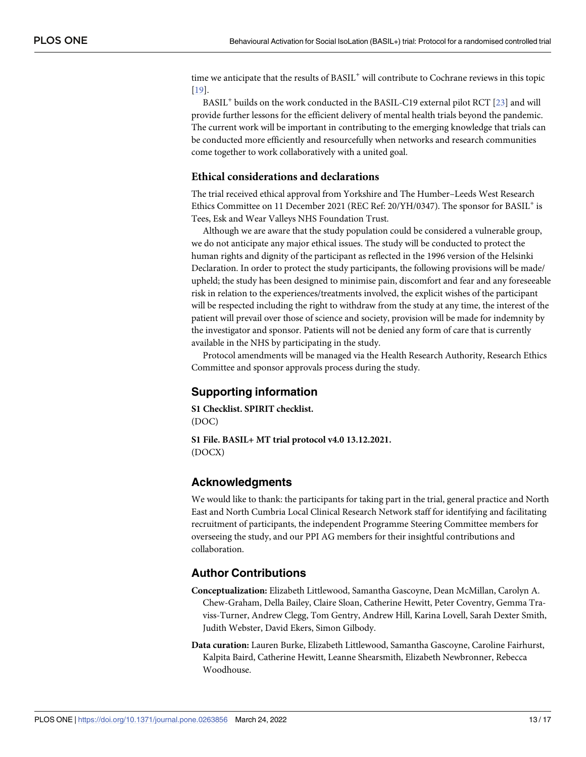<span id="page-12-0"></span>time we anticipate that the results of BASIL<sup>+</sup> will contribute to Cochrane reviews in this topic [\[19\]](#page-14-0).

BASIL<sup>+</sup> builds on the work conducted in the BASIL-C19 external pilot RCT [\[23\]](#page-14-0) and will provide further lessons for the efficient delivery of mental health trials beyond the pandemic. The current work will be important in contributing to the emerging knowledge that trials can be conducted more efficiently and resourcefully when networks and research communities come together to work collaboratively with a united goal.

#### **Ethical considerations and declarations**

The trial received ethical approval from Yorkshire and The Humber–Leeds West Research Ethics Committee on 11 December 2021 (REC Ref:  $20/YH/0347$ ). The sponsor for BASIL<sup>+</sup> is Tees, Esk and Wear Valleys NHS Foundation Trust.

Although we are aware that the study population could be considered a vulnerable group, we do not anticipate any major ethical issues. The study will be conducted to protect the human rights and dignity of the participant as reflected in the 1996 version of the Helsinki Declaration. In order to protect the study participants, the following provisions will be made/ upheld; the study has been designed to minimise pain, discomfort and fear and any foreseeable risk in relation to the experiences/treatments involved, the explicit wishes of the participant will be respected including the right to withdraw from the study at any time, the interest of the patient will prevail over those of science and society, provision will be made for indemnity by the investigator and sponsor. Patients will not be denied any form of care that is currently available in the NHS by participating in the study.

Protocol amendments will be managed via the Health Research Authority, Research Ethics Committee and sponsor approvals process during the study.

## **Supporting information**

**S1 [Checklist.](http://www.plosone.org/article/fetchSingleRepresentation.action?uri=info:doi/10.1371/journal.pone.0263856.s001) SPIRIT checklist.** (DOC)

**S1 [File.](http://www.plosone.org/article/fetchSingleRepresentation.action?uri=info:doi/10.1371/journal.pone.0263856.s002) BASIL+ MT trial protocol v4.0 13.12.2021.** (DOCX)

#### **Acknowledgments**

We would like to thank: the participants for taking part in the trial, general practice and North East and North Cumbria Local Clinical Research Network staff for identifying and facilitating recruitment of participants, the independent Programme Steering Committee members for overseeing the study, and our PPI AG members for their insightful contributions and collaboration.

## **Author Contributions**

- **Conceptualization:** Elizabeth Littlewood, Samantha Gascoyne, Dean McMillan, Carolyn A. Chew-Graham, Della Bailey, Claire Sloan, Catherine Hewitt, Peter Coventry, Gemma Traviss-Turner, Andrew Clegg, Tom Gentry, Andrew Hill, Karina Lovell, Sarah Dexter Smith, Judith Webster, David Ekers, Simon Gilbody.
- **Data curation:** Lauren Burke, Elizabeth Littlewood, Samantha Gascoyne, Caroline Fairhurst, Kalpita Baird, Catherine Hewitt, Leanne Shearsmith, Elizabeth Newbronner, Rebecca Woodhouse.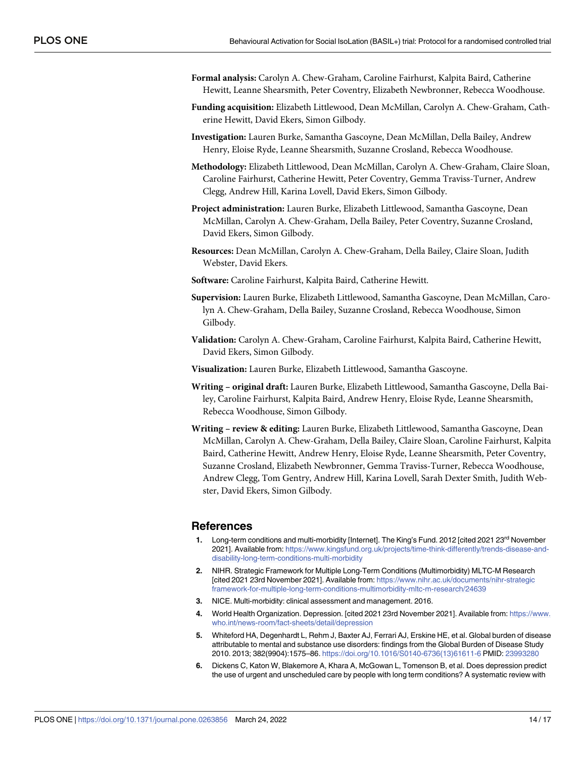- <span id="page-13-0"></span>**Formal analysis:** Carolyn A. Chew-Graham, Caroline Fairhurst, Kalpita Baird, Catherine Hewitt, Leanne Shearsmith, Peter Coventry, Elizabeth Newbronner, Rebecca Woodhouse.
- **Funding acquisition:** Elizabeth Littlewood, Dean McMillan, Carolyn A. Chew-Graham, Catherine Hewitt, David Ekers, Simon Gilbody.
- **Investigation:** Lauren Burke, Samantha Gascoyne, Dean McMillan, Della Bailey, Andrew Henry, Eloise Ryde, Leanne Shearsmith, Suzanne Crosland, Rebecca Woodhouse.
- **Methodology:** Elizabeth Littlewood, Dean McMillan, Carolyn A. Chew-Graham, Claire Sloan, Caroline Fairhurst, Catherine Hewitt, Peter Coventry, Gemma Traviss-Turner, Andrew Clegg, Andrew Hill, Karina Lovell, David Ekers, Simon Gilbody.
- **Project administration:** Lauren Burke, Elizabeth Littlewood, Samantha Gascoyne, Dean McMillan, Carolyn A. Chew-Graham, Della Bailey, Peter Coventry, Suzanne Crosland, David Ekers, Simon Gilbody.
- **Resources:** Dean McMillan, Carolyn A. Chew-Graham, Della Bailey, Claire Sloan, Judith Webster, David Ekers.
- **Software:** Caroline Fairhurst, Kalpita Baird, Catherine Hewitt.
- **Supervision:** Lauren Burke, Elizabeth Littlewood, Samantha Gascoyne, Dean McMillan, Carolyn A. Chew-Graham, Della Bailey, Suzanne Crosland, Rebecca Woodhouse, Simon Gilbody.
- **Validation:** Carolyn A. Chew-Graham, Caroline Fairhurst, Kalpita Baird, Catherine Hewitt, David Ekers, Simon Gilbody.
- **Visualization:** Lauren Burke, Elizabeth Littlewood, Samantha Gascoyne.
- **Writing – original draft:** Lauren Burke, Elizabeth Littlewood, Samantha Gascoyne, Della Bailey, Caroline Fairhurst, Kalpita Baird, Andrew Henry, Eloise Ryde, Leanne Shearsmith, Rebecca Woodhouse, Simon Gilbody.
- **Writing – review & editing:** Lauren Burke, Elizabeth Littlewood, Samantha Gascoyne, Dean McMillan, Carolyn A. Chew-Graham, Della Bailey, Claire Sloan, Caroline Fairhurst, Kalpita Baird, Catherine Hewitt, Andrew Henry, Eloise Ryde, Leanne Shearsmith, Peter Coventry, Suzanne Crosland, Elizabeth Newbronner, Gemma Traviss-Turner, Rebecca Woodhouse, Andrew Clegg, Tom Gentry, Andrew Hill, Karina Lovell, Sarah Dexter Smith, Judith Webster, David Ekers, Simon Gilbody.

#### **References**

- **[1](#page-1-0).** Long-term conditions and multi-morbidity [Internet]. The King's Fund. 2012 [cited 2021 23<sup>rd</sup> November 2021]. Available from: [https://www.kingsfund.org.uk/projects/time-think-differently/trends-disease-and](https://www.kingsfund.org.uk/projects/time-think-differently/trends-disease-and-disability-long-term-conditions-multi-morbidity)[disability-long-term-conditions-multi-morbidity](https://www.kingsfund.org.uk/projects/time-think-differently/trends-disease-and-disability-long-term-conditions-multi-morbidity)
- **[2](#page-1-0).** NIHR. Strategic Framework for Multiple Long-Term Conditions (Multimorbidity) MLTC-M Research [cited 2021 23rd November 2021]. Available from: [https://www.nihr.ac.uk/documents/nihr-strategic](https://www.nihr.ac.uk/documents/nihr-strategicframework-for-multiple-long-term-conditions-multimorbidity-mltc-m-research/24639) [framework-for-multiple-long-term-conditions-multimorbidity-mltc-m-research/24639](https://www.nihr.ac.uk/documents/nihr-strategicframework-for-multiple-long-term-conditions-multimorbidity-mltc-m-research/24639)
- **[3](#page-1-0).** NICE. Multi-morbidity: clinical assessment and management. 2016.
- **[4](#page-1-0).** World Health Organization. Depression. [cited 2021 23rd November 2021]. Available from: [https://www.](https://www.who.int/news-room/fact-sheets/detail/depression) [who.int/news-room/fact-sheets/detail/depression](https://www.who.int/news-room/fact-sheets/detail/depression)
- **[5](#page-1-0).** Whiteford HA, Degenhardt L, Rehm J, Baxter AJ, Ferrari AJ, Erskine HE, et al. Global burden of disease attributable to mental and substance use disorders: findings from the Global Burden of Disease Study 2010. 2013; 382(9904):1575–86. [https://doi.org/10.1016/S0140-6736\(13\)61611-6](https://doi.org/10.1016/S0140-6736%2813%2961611-6) PMID: [23993280](http://www.ncbi.nlm.nih.gov/pubmed/23993280)
- **[6](#page-1-0).** Dickens C, Katon W, Blakemore A, Khara A, McGowan L, Tomenson B, et al. Does depression predict the use of urgent and unscheduled care by people with long term conditions? A systematic review with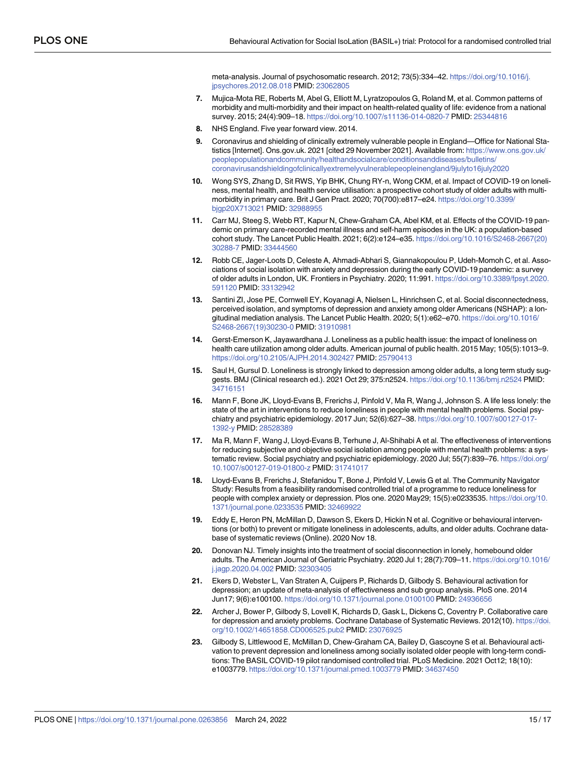meta-analysis. Journal of psychosomatic research. 2012; 73(5):334–42. [https://doi.org/10.1016/j.](https://doi.org/10.1016/j.jpsychores.2012.08.018) [jpsychores.2012.08.018](https://doi.org/10.1016/j.jpsychores.2012.08.018) PMID: [23062805](http://www.ncbi.nlm.nih.gov/pubmed/23062805)

- <span id="page-14-0"></span>**[7](#page-1-0).** Mujica-Mota RE, Roberts M, Abel G, Elliott M, Lyratzopoulos G, Roland M, et al. Common patterns of morbidity and multi-morbidity and their impact on health-related quality of life: evidence from a national survey. 2015; 24(4):909–18. <https://doi.org/10.1007/s11136-014-0820-7> PMID: [25344816](http://www.ncbi.nlm.nih.gov/pubmed/25344816)
- **[8](#page-1-0).** NHS England. Five year forward view. 2014.
- **[9](#page-1-0).** Coronavirus and shielding of clinically extremely vulnerable people in England—Office for National Statistics [Internet]. Ons.gov.uk. 2021 [cited 29 November 2021]. Available from: [https://www.ons.gov.uk/](https://www.ons.gov.uk/peoplepopulationandcommunity/healthandsocialcare/conditionsanddiseases/bulletins/coronavirusandshieldingofclinicallyextremelyvulnerablepeopleinengland/9julyto16july2020) [peoplepopulationandcommunity/healthandsocialcare/conditionsanddiseases/bulletins/](https://www.ons.gov.uk/peoplepopulationandcommunity/healthandsocialcare/conditionsanddiseases/bulletins/coronavirusandshieldingofclinicallyextremelyvulnerablepeopleinengland/9julyto16july2020) [coronavirusandshieldingofclinicallyextremelyvulnerablepeopleinengland/9julyto16july2020](https://www.ons.gov.uk/peoplepopulationandcommunity/healthandsocialcare/conditionsanddiseases/bulletins/coronavirusandshieldingofclinicallyextremelyvulnerablepeopleinengland/9julyto16july2020)
- **[10](#page-2-0).** Wong SYS, Zhang D, Sit RWS, Yip BHK, Chung RY-n, Wong CKM, et al. Impact of COVID-19 on loneliness, mental health, and health service utilisation: a prospective cohort study of older adults with multimorbidity in primary care. Brit J Gen Pract. 2020; 70(700):e817–e24. [https://doi.org/10.3399/](https://doi.org/10.3399/bjgp20X713021) [bjgp20X713021](https://doi.org/10.3399/bjgp20X713021) PMID: [32988955](http://www.ncbi.nlm.nih.gov/pubmed/32988955)
- **[11](#page-2-0).** Carr MJ, Steeg S, Webb RT, Kapur N, Chew-Graham CA, Abel KM, et al. Effects of the COVID-19 pandemic on primary care-recorded mental illness and self-harm episodes in the UK: a population-based cohort study. The Lancet Public Health. 2021; 6(2):e124–e35. [https://doi.org/10.1016/S2468-2667\(20\)](https://doi.org/10.1016/S2468-2667%2820%2930288-7) [30288-7](https://doi.org/10.1016/S2468-2667%2820%2930288-7) PMID: [33444560](http://www.ncbi.nlm.nih.gov/pubmed/33444560)
- **[12](#page-2-0).** Robb CE, Jager-Loots D, Celeste A, Ahmadi-Abhari S, Giannakopoulou P, Udeh-Momoh C, et al. Associations of social isolation with anxiety and depression during the early COVID-19 pandemic: a survey of older adults in London, UK. Frontiers in Psychiatry. 2020; 11:991. [https://doi.org/10.3389/fpsyt.2020.](https://doi.org/10.3389/fpsyt.2020.591120) [591120](https://doi.org/10.3389/fpsyt.2020.591120) PMID: [33132942](http://www.ncbi.nlm.nih.gov/pubmed/33132942)
- **[13](#page-2-0).** Santini ZI, Jose PE, Cornwell EY, Koyanagi A, Nielsen L, Hinrichsen C, et al. Social disconnectedness, perceived isolation, and symptoms of depression and anxiety among older Americans (NSHAP): a longitudinal mediation analysis. The Lancet Public Health. 2020; 5(1):e62–e70. [https://doi.org/10.1016/](https://doi.org/10.1016/S2468-2667%2819%2930230-0) [S2468-2667\(19\)30230-0](https://doi.org/10.1016/S2468-2667%2819%2930230-0) PMID: [31910981](http://www.ncbi.nlm.nih.gov/pubmed/31910981)
- **[14](#page-2-0).** Gerst-Emerson K, Jayawardhana J. Loneliness as a public health issue: the impact of loneliness on health care utilization among older adults. American journal of public health. 2015 May; 105(5):1013–9. <https://doi.org/10.2105/AJPH.2014.302427> PMID: [25790413](http://www.ncbi.nlm.nih.gov/pubmed/25790413)
- **[15](#page-2-0).** Saul H, Gursul D. Loneliness is strongly linked to depression among older adults, a long term study suggests. BMJ (Clinical research ed.). 2021 Oct 29; 375:n2524. <https://doi.org/10.1136/bmj.n2524> PMID: [34716151](http://www.ncbi.nlm.nih.gov/pubmed/34716151)
- **[16](#page-2-0).** Mann F, Bone JK, Lloyd-Evans B, Frerichs J, Pinfold V, Ma R, Wang J, Johnson S. A life less lonely: the state of the art in interventions to reduce loneliness in people with mental health problems. Social psychiatry and psychiatric epidemiology. 2017 Jun; 52(6):627–38. [https://doi.org/10.1007/s00127-017-](https://doi.org/10.1007/s00127-017-1392-y) [1392-y](https://doi.org/10.1007/s00127-017-1392-y) PMID: [28528389](http://www.ncbi.nlm.nih.gov/pubmed/28528389)
- **[17](#page-2-0).** Ma R, Mann F, Wang J, Lloyd-Evans B, Terhune J, Al-Shihabi A et al. The effectiveness of interventions for reducing subjective and objective social isolation among people with mental health problems: a systematic review. Social psychiatry and psychiatric epidemiology. 2020 Jul; 55(7):839–76. [https://doi.org/](https://doi.org/10.1007/s00127-019-01800-z) [10.1007/s00127-019-01800-z](https://doi.org/10.1007/s00127-019-01800-z) PMID: [31741017](http://www.ncbi.nlm.nih.gov/pubmed/31741017)
- **[18](#page-2-0).** Lloyd-Evans B, Frerichs J, Stefanidou T, Bone J, Pinfold V, Lewis G et al. The Community Navigator Study: Results from a feasibility randomised controlled trial of a programme to reduce loneliness for people with complex anxiety or depression. Plos one. 2020 May29; 15(5):e0233535. [https://doi.org/10.](https://doi.org/10.1371/journal.pone.0233535) [1371/journal.pone.0233535](https://doi.org/10.1371/journal.pone.0233535) PMID: [32469922](http://www.ncbi.nlm.nih.gov/pubmed/32469922)
- **[19](#page-12-0).** Eddy E, Heron PN, McMillan D, Dawson S, Ekers D, Hickin N et al. Cognitive or behavioural interventions (or both) to prevent or mitigate loneliness in adolescents, adults, and older adults. Cochrane database of systematic reviews (Online). 2020 Nov 18.
- **[20](#page-2-0).** Donovan NJ. Timely insights into the treatment of social disconnection in lonely, homebound older adults. The American Journal of Geriatric Psychiatry. 2020 Jul 1; 28(7):709–11. [https://doi.org/10.1016/](https://doi.org/10.1016/j.jagp.2020.04.002) [j.jagp.2020.04.002](https://doi.org/10.1016/j.jagp.2020.04.002) PMID: [32303405](http://www.ncbi.nlm.nih.gov/pubmed/32303405)
- **[21](#page-2-0).** Ekers D, Webster L, Van Straten A, Cuijpers P, Richards D, Gilbody S. Behavioural activation for depression; an update of meta-analysis of effectiveness and sub group analysis. PloS one. 2014 Jun17; 9(6):e100100. <https://doi.org/10.1371/journal.pone.0100100> PMID: [24936656](http://www.ncbi.nlm.nih.gov/pubmed/24936656)
- **[22](#page-2-0).** Archer J, Bower P, Gilbody S, Lovell K, Richards D, Gask L, Dickens C, Coventry P. Collaborative care for depression and anxiety problems. Cochrane Database of Systematic Reviews. 2012(10). [https://doi.](https://doi.org/10.1002/14651858.CD006525.pub2) [org/10.1002/14651858.CD006525.pub2](https://doi.org/10.1002/14651858.CD006525.pub2) PMID: [23076925](http://www.ncbi.nlm.nih.gov/pubmed/23076925)
- **[23](#page-8-0).** Gilbody S, Littlewood E, McMillan D, Chew-Graham CA, Bailey D, Gascoyne S et al. Behavioural activation to prevent depression and loneliness among socially isolated older people with long-term conditions: The BASIL COVID-19 pilot randomised controlled trial. PLoS Medicine. 2021 Oct12; 18(10): e1003779. <https://doi.org/10.1371/journal.pmed.1003779> PMID: [34637450](http://www.ncbi.nlm.nih.gov/pubmed/34637450)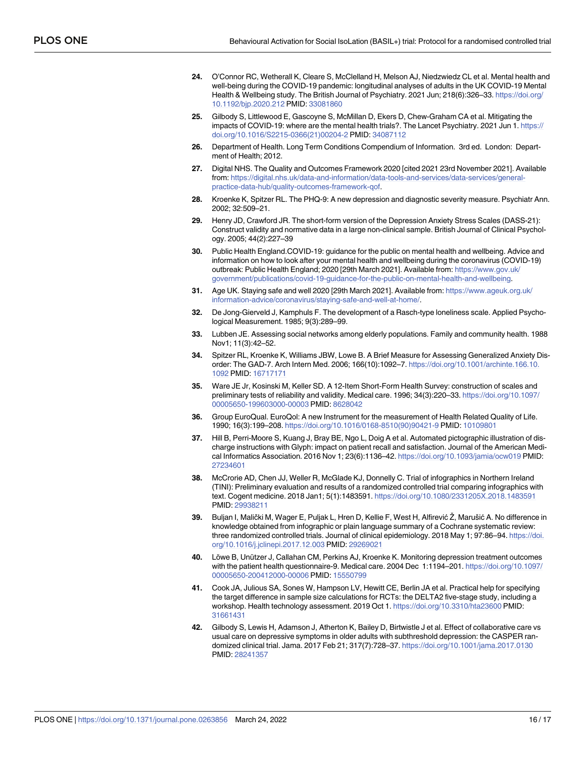- <span id="page-15-0"></span>**[24](#page-2-0).** O'Connor RC, Wetherall K, Cleare S, McClelland H, Melson AJ, Niedzwiedz CL et al. Mental health and well-being during the COVID-19 pandemic: longitudinal analyses of adults in the UK COVID-19 Mental Health & Wellbeing study. The British Journal of Psychiatry. 2021 Jun; 218(6):326–33. [https://doi.org/](https://doi.org/10.1192/bjp.2020.212) [10.1192/bjp.2020.212](https://doi.org/10.1192/bjp.2020.212) PMID: [33081860](http://www.ncbi.nlm.nih.gov/pubmed/33081860)
- **[25](#page-2-0).** Gilbody S, Littlewood E, Gascoyne S, McMillan D, Ekers D, Chew-Graham CA et al. Mitigating the impacts of COVID-19: where are the mental health trials?. The Lancet Psychiatry. 2021 Jun 1. [https://](https://doi.org/10.1016/S2215-0366%2821%2900204-2) [doi.org/10.1016/S2215-0366\(21\)00204-2](https://doi.org/10.1016/S2215-0366%2821%2900204-2) PMID: [34087112](http://www.ncbi.nlm.nih.gov/pubmed/34087112)
- **[26](#page-3-0).** Department of Health. Long Term Conditions Compendium of Information. 3rd ed. London: Department of Health; 2012.
- **[27](#page-7-0).** Digital NHS. The Quality and Outcomes Framework 2020 [cited 2021 23rd November 2021]. Available from: [https://digital.nhs.uk/data-and-information/data-tools-and-services/data-services/general](https://digital.nhs.uk/data-and-information/data-tools-and-services/data-services/general-practice-data-hub/quality-outcomes-framework-qof)[practice-data-hub/quality-outcomes-framework-qof](https://digital.nhs.uk/data-and-information/data-tools-and-services/data-services/general-practice-data-hub/quality-outcomes-framework-qof).
- **[28](#page-7-0).** Kroenke K, Spitzer RL. The PHQ-9: A new depression and diagnostic severity measure. Psychiatr Ann. 2002; 32:509–21.
- **[29](#page-6-0).** Henry JD, Crawford JR. The short-form version of the Depression Anxiety Stress Scales (DASS-21): Construct validity and normative data in a large non-clinical sample. British Journal of Clinical Psychology. 2005; 44(2):227–39
- **[30](#page-6-0).** Public Health England.COVID-19: guidance for the public on mental health and wellbeing. Advice and information on how to look after your mental health and wellbeing during the coronavirus (COVID-19) outbreak: Public Health England; 2020 [29th March 2021]. Available from: [https://www.gov.uk/](https://www.gov.uk/government/publications/covid-19-guidance-for-the-public-on-mental-health-and-wellbeing) [government/publications/covid-19-guidance-for-the-public-on-mental-health-and-wellbeing.](https://www.gov.uk/government/publications/covid-19-guidance-for-the-public-on-mental-health-and-wellbeing)
- **[31](#page-6-0).** Age UK. Staying safe and well 2020 [29th March 2021]. Available from: [https://www.ageuk.org.uk/](https://www.ageuk.org.uk/information-advice/coronavirus/staying-safe-and-well-at-home/) [information-advice/coronavirus/staying-safe-and-well-at-home/.](https://www.ageuk.org.uk/information-advice/coronavirus/staying-safe-and-well-at-home/)
- **[32](#page-7-0).** De Jong-Gierveld J, Kamphuls F. The development of a Rasch-type loneliness scale. Applied Psychological Measurement. 1985; 9(3):289–99.
- **[33](#page-7-0).** Lubben JE. Assessing social networks among elderly populations. Family and community health. 1988 Nov1; 11(3):42–52.
- **[34](#page-7-0).** Spitzer RL, Kroenke K, Williams JBW, Lowe B. A Brief Measure for Assessing Generalized Anxiety Disorder: The GAD-7. Arch Intern Med. 2006; 166(10):1092–7. [https://doi.org/10.1001/archinte.166.10.](https://doi.org/10.1001/archinte.166.10.1092) [1092](https://doi.org/10.1001/archinte.166.10.1092) PMID: [16717171](http://www.ncbi.nlm.nih.gov/pubmed/16717171)
- **[35](#page-7-0).** Ware JE Jr, Kosinski M, Keller SD. A 12-Item Short-Form Health Survey: construction of scales and preliminary tests of reliability and validity. Medical care. 1996; 34(3):220–33. [https://doi.org/10.1097/](https://doi.org/10.1097/00005650-199603000-00003) [00005650-199603000-00003](https://doi.org/10.1097/00005650-199603000-00003) PMID: [8628042](http://www.ncbi.nlm.nih.gov/pubmed/8628042)
- **[36](#page-7-0).** Group EuroQual. EuroQol: A new Instrument for the measurement of Health Related Quality of Life. 1990; 16(3):199–208. [https://doi.org/10.1016/0168-8510\(90\)90421-9](https://doi.org/10.1016/0168-8510%2890%2990421-9) PMID: [10109801](http://www.ncbi.nlm.nih.gov/pubmed/10109801)
- **[37](#page-7-0).** Hill B, Perri-Moore S, Kuang J, Bray BE, Ngo L, Doig A et al. Automated pictographic illustration of discharge instructions with Glyph: impact on patient recall and satisfaction. Journal of the American Medical Informatics Association. 2016 Nov 1; 23(6):1136–42. <https://doi.org/10.1093/jamia/ocw019> PMID: [27234601](http://www.ncbi.nlm.nih.gov/pubmed/27234601)
- **38.** McCrorie AD, Chen JJ, Weller R, McGlade KJ, Donnelly C. Trial of infographics in Northern Ireland (TINI): Preliminary evaluation and results of a randomized controlled trial comparing infographics with text. Cogent medicine. 2018 Jan1; 5(1):1483591. <https://doi.org/10.1080/2331205X.2018.1483591> PMID: [29938211](http://www.ncbi.nlm.nih.gov/pubmed/29938211)
- **[39](#page-7-0).** Buljan I, Malički M, Wager E, Puljak L, Hren D, Kellie F, West H, Alfirević Ž, Marušić A. No difference in knowledge obtained from infographic or plain language summary of a Cochrane systematic review: three randomized controlled trials. Journal of clinical epidemiology. 2018 May 1; 97:86–94. [https://doi.](https://doi.org/10.1016/j.jclinepi.2017.12.003) [org/10.1016/j.jclinepi.2017.12.003](https://doi.org/10.1016/j.jclinepi.2017.12.003) PMID: [29269021](http://www.ncbi.nlm.nih.gov/pubmed/29269021)
- **[40](#page-8-0).** Löwe B, Unützer J, Callahan CM, Perkins AJ, Kroenke K. Monitoring depression treatment outcomes with the patient health questionnaire-9. Medical care. 2004 Dec 1:1194–201. [https://doi.org/10.1097/](https://doi.org/10.1097/00005650-200412000-00006) [00005650-200412000-00006](https://doi.org/10.1097/00005650-200412000-00006) PMID: [15550799](http://www.ncbi.nlm.nih.gov/pubmed/15550799)
- **[41](#page-8-0).** Cook JA, Julious SA, Sones W, Hampson LV, Hewitt CE, Berlin JA et al. Practical help for specifying the target difference in sample size calculations for RCTs: the DELTA2 five-stage study, including a workshop. Health technology assessment. 2019 Oct 1. <https://doi.org/10.3310/hta23600> PMID: [31661431](http://www.ncbi.nlm.nih.gov/pubmed/31661431)
- **[42](#page-8-0).** Gilbody S, Lewis H, Adamson J, Atherton K, Bailey D, Birtwistle J et al. Effect of collaborative care vs usual care on depressive symptoms in older adults with subthreshold depression: the CASPER randomized clinical trial. Jama. 2017 Feb 21; 317(7):728–37. <https://doi.org/10.1001/jama.2017.0130> PMID: [28241357](http://www.ncbi.nlm.nih.gov/pubmed/28241357)